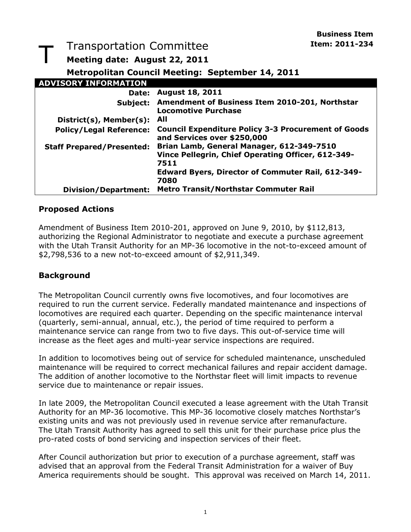**Business Item** 

#### T Transportation Committee **Interpreteration** Item: 2011-234 **Meeting date: August 22, 2011 Metropolitan Council Meeting: September 14, 2011 ADVISORY INFORMATION Date: August 18, 2011 Subject: Amendment of Business Item 2010-201, Northstar Locomotive Purchase District(s), Member(s): All Policy/Legal Reference: Council Expenditure Policy 3-3 Procurement of Goods and Services over \$250,000 Staff Prepared/Presented: Brian Lamb, General Manager, 612-349-7510 Vince Pellegrin, Chief Operating Officer, 612-349- 7511 Edward Byers, Director of Commuter Rail, 612-349- 7080 Division/Department: Metro Transit/Northstar Commuter Rail**

#### **Proposed Actions**

Amendment of Business Item 2010-201, approved on June 9, 2010, by \$112,813, authorizing the Regional Administrator to negotiate and execute a purchase agreement with the Utah Transit Authority for an MP-36 locomotive in the not-to-exceed amount of \$2,798,536 to a new not-to-exceed amount of \$2,911,349.

#### **Background**

The Metropolitan Council currently owns five locomotives, and four locomotives are required to run the current service. Federally mandated maintenance and inspections of locomotives are required each quarter. Depending on the specific maintenance interval (quarterly, semi-annual, annual, etc.), the period of time required to perform a maintenance service can range from two to five days. This out-of-service time will increase as the fleet ages and multi-year service inspections are required.

In addition to locomotives being out of service for scheduled maintenance, unscheduled maintenance will be required to correct mechanical failures and repair accident damage. The addition of another locomotive to the Northstar fleet will limit impacts to revenue service due to maintenance or repair issues.

In late 2009, the Metropolitan Council executed a lease agreement with the Utah Transit Authority for an MP-36 locomotive. This MP-36 locomotive closely matches Northstar's existing units and was not previously used in revenue service after remanufacture. The Utah Transit Authority has agreed to sell this unit for their purchase price plus the pro-rated costs of bond servicing and inspection services of their fleet.

After Council authorization but prior to execution of a purchase agreement, staff was advised that an approval from the Federal Transit Administration for a waiver of Buy America requirements should be sought. This approval was received on March 14, 2011.